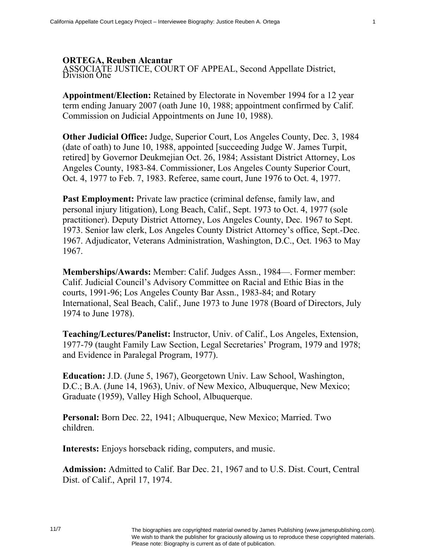## **ORTEGA, Reuben Alcantar**

ASSOCIATE JUSTICE, COURT OF APPEAL, Second Appellate District, Division One

**Appointment/Election:** Retained by Electorate in November 1994 for a 12 year term ending January 2007 (oath June 10, 1988; appointment confirmed by Calif. Commission on Judicial Appointments on June 10, 1988).

**Other Judicial Office:** Judge, Superior Court, Los Angeles County, Dec. 3, 1984 (date of oath) to June 10, 1988, appointed [succeeding Judge W. James Turpit, retired] by Governor Deukmejian Oct. 26, 1984; Assistant District Attorney, Los Angeles County, 1983-84. Commissioner, Los Angeles County Superior Court, Oct. 4, 1977 to Feb. 7, 1983. Referee, same court, June 1976 to Oct. 4, 1977.

**Past Employment:** Private law practice (criminal defense, family law, and personal injury litigation), Long Beach, Calif., Sept. 1973 to Oct. 4, 1977 (sole practitioner). Deputy District Attorney, Los Angeles County, Dec. 1967 to Sept. 1973. Senior law clerk, Los Angeles County District Attorney's office, Sept.-Dec. 1967. Adjudicator, Veterans Administration, Washington, D.C., Oct. 1963 to May 1967.

**Memberships/Awards:** Member: Calif. Judges Assn., 1984—. Former member: Calif. Judicial Council's Advisory Committee on Racial and Ethic Bias in the courts, 1991-96; Los Angeles County Bar Assn., 1983-84; and Rotary International, Seal Beach, Calif., June 1973 to June 1978 (Board of Directors, July 1974 to June 1978).

**Teaching/Lectures/Panelist:** Instructor, Univ. of Calif., Los Angeles, Extension, 1977-79 (taught Family Law Section, Legal Secretaries' Program, 1979 and 1978; and Evidence in Paralegal Program, 1977).

**Education:** J.D. (June 5, 1967), Georgetown Univ. Law School, Washington, D.C.; B.A. (June 14, 1963), Univ. of New Mexico, Albuquerque, New Mexico; Graduate (1959), Valley High School, Albuquerque.

**Personal:** Born Dec. 22, 1941; Albuquerque, New Mexico; Married. Two children.

**Interests:** Enjoys horseback riding, computers, and music.

**Admission:** Admitted to Calif. Bar Dec. 21, 1967 and to U.S. Dist. Court, Central Dist. of Calif., April 17, 1974.